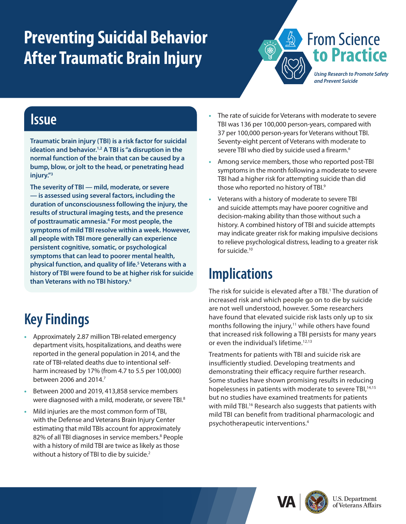# <span id="page-0-0"></span>**Preventing Suicidal Behavior After Traumatic Brain Injury**



### **Issue**

**Traumatic brain injury (TBI) is a risk factor for suicidal ideation and behavior[.1,2](#page-1-0) A TBI is "a disruption in the normal function of the brain that can be caused by a bump, blow, or jolt to the head, or penetrating head injury."[3](#page-1-0)**

**The severity of TBI — mild, moderate, or severe — is assessed using several factors, including the duration of unconsciousness following the injury, the results of structural imaging tests, and the presence of posttraumatic amnesia[.4](#page-1-0) For most people, the symptoms of mild TBI resolve within a week. However, all people with TBI more generally can experience persistent cognitive, somatic, or psychological symptoms that can lead to poorer mental health, physical function, and quality of life[.5](#page-1-0) Veterans with a history of TBI were found to be at higher risk for suicide than Veterans with no TBI history.[6](#page-1-0)**

#### **•** The rate of suicide for Veterans with moderate to severe TBI was 136 per 100,000 person-years, compared with 37 per 100,000 person-years for Veterans without TBI. Seventy-eight percent of Veterans with moderate to severe TBI who died by suicide used a firearm.<sup>6</sup>

- **•** Among service members, those who reported post-TBI symptoms in the month following a moderate to severe TBI had a higher risk for attempting suicide than did those who reported no history of TBI.<sup>9</sup>
- **•** Veterans with a history of moderate to severe TBI and suicide attempts may have poorer cognitive and decision-making ability than those without such a history. A combined history of TBI and suicide attempts may indicate greater risk for making impulsive decisions to relieve psychological distress, leading to a greater risk for suicide.<sup>10</sup>

## **Implications**

The risk for suicide is elevated after a TBI.<sup>1</sup> The duration of increased risk and which people go on to die by suicide are not well understood, however. Some researchers have found that elevated suicide risk lasts only up to six months following the injury, $11$  while others have found that increased risk following a TBI persists for many years or even the individual's lifetime.<sup>[12,13](#page-1-0)</sup>

Treatments for patients with TBI and suicide risk are insufficiently studied. Developing treatments and demonstrating their efficacy require further research. Some studies have shown promising results in reducing hopelessness in patients with moderate to severe TBI,<sup>14,15</sup> but no studies have examined treatments for patients with mild TBI.<sup>16</sup> Research also suggests that patients with mild TBI can benefit from traditional pharmacologic and psychotherapeutic interventions.4





## **Key Findings**

- **•** Approximately 2.87 million TBI-related emergency department visits, hospitalizations, and deaths were reported in the general population in 2014, and the rate of TBI-related deaths due to intentional selfharm increased by 17% (from 4.7 to 5.5 per 100,000) between 2006 and 2014[.7](#page-1-0)
- **•** Between 2000 and 2019, 413,858 service members were diagnosed with a mild, moderate, or severe TBI.<sup>8</sup>
- **•** Mild injuries are the most common form of TBI, with the Defense and Veterans Brain Injury Center estimating that mild TBIs account for approximately 82% of all TBI diagnoses in service members.<sup>8</sup> People with a history of mild TBI are twice as likely as those without a history of TBI to die by suicide.<sup>2</sup>